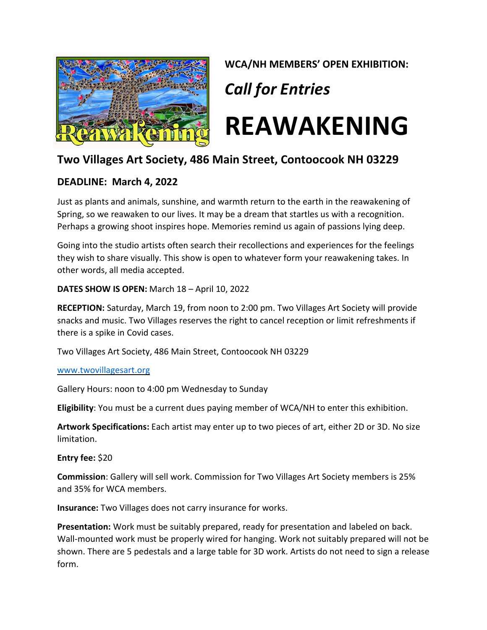

**WCA/NH MEMBERS' OPEN EXHIBITION:** *Call for Entries* **REAWAKENING** 

# **Two Villages Art Society, 486 Main Street, Contoocook NH 03229**

## **DEADLINE: March 4, 2022**

Just as plants and animals, sunshine, and warmth return to the earth in the reawakening of Spring, so we reawaken to our lives. It may be a dream that startles us with a recognition. Perhaps a growing shoot inspires hope. Memories remind us again of passions lying deep.

Going into the studio artists often search their recollections and experiences for the feelings they wish to share visually. This show is open to whatever form your reawakening takes. In other words, all media accepted.

**DATES SHOW IS OPEN:** March 18 – April 10, 2022

**RECEPTION:** Saturday, March 19, from noon to 2:00 pm. Two Villages Art Society will provide snacks and music. Two Villages reserves the right to cancel reception or limit refreshments if there is a spike in Covid cases.

Two Villages Art Society, 486 Main Street, Contoocook NH 03229

#### [www.twovillagesart.org](http://www.twovillagesart.org/)

Gallery Hours: noon to 4:00 pm Wednesday to Sunday

**Eligibility**: You must be a current dues paying member of WCA/NH to enter this exhibition.

**Artwork Specifications:** Each artist may enter up to two pieces of art, either 2D or 3D. No size limitation.

**Entry fee:** \$20

**Commission**: Gallery will sell work. Commission for Two Villages Art Society members is 25% and 35% for WCA members.

**Insurance:** Two Villages does not carry insurance for works.

**Presentation:** Work must be suitably prepared, ready for presentation and labeled on back. Wall-mounted work must be properly wired for hanging. Work not suitably prepared will not be shown. There are 5 pedestals and a large table for 3D work. Artists do not need to sign a release form.